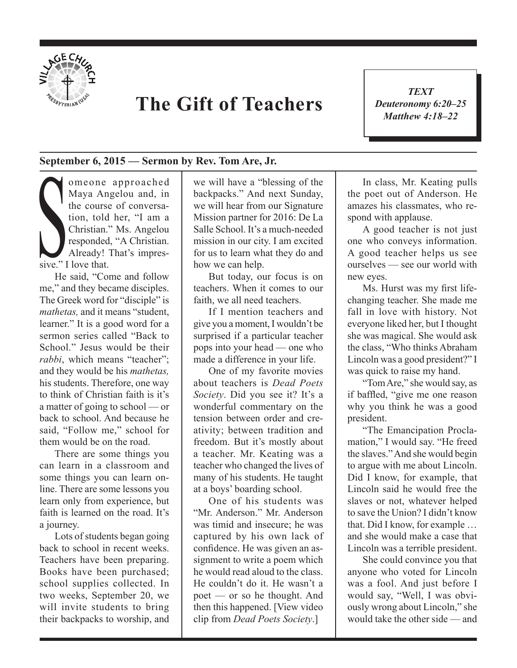

## **The Gift of Teachers**

*TEXT Deuteronomy 6:20–25 Matthew 4:18–22*

1

## **September 6, 2015 — Sermon by Rev. Tom Are, Jr.**

tion, told<br>Christian."<br>
responded.<br>
Already! T<br>
sive." I love that. omeone approached Maya Angelou and, in the course of conversation, told her, "I am a Christian." Ms. Angelou responded, "A Christian. Already! That's impres-

He said, "Come and follow me," and they became disciples. The Greek word for "disciple" is *mathetas,* and it means "student, learner." It is a good word for a sermon series called "Back to School." Jesus would be their *rabbi*, which means "teacher"; and they would be his *mathetas,*  his students. Therefore, one way to think of Christian faith is it's a matter of going to school — or back to school. And because he said, "Follow me," school for them would be on the road.

There are some things you can learn in a classroom and some things you can learn online. There are some lessons you learn only from experience, but faith is learned on the road. It's a journey.

Lots of students began going back to school in recent weeks. Teachers have been preparing. Books have been purchased; school supplies collected. In two weeks, September 20, we will invite students to bring their backpacks to worship, and

we will have a "blessing of the backpacks." And next Sunday, we will hear from our Signature Mission partner for 2016: De La Salle School. It's a much-needed mission in our city. I am excited for us to learn what they do and how we can help.

But today, our focus is on teachers. When it comes to our faith, we all need teachers.

If I mention teachers and give you a moment, I wouldn't be surprised if a particular teacher pops into your head — one who made a difference in your life.

One of my favorite movies about teachers is *Dead Poets Society*. Did you see it? It's a wonderful commentary on the tension between order and creativity; between tradition and freedom. But it's mostly about a teacher. Mr. Keating was a teacher who changed the lives of many of his students. He taught at a boys' boarding school.

One of his students was "Mr. Anderson." Mr. Anderson was timid and insecure; he was captured by his own lack of confidence. He was given an assignment to write a poem which he would read aloud to the class. He couldn't do it. He wasn't a poet — or so he thought. And then this happened. [View video clip from *Dead Poets Society*.]

In class, Mr. Keating pulls the poet out of Anderson. He amazes his classmates, who respond with applause.

A good teacher is not just one who conveys information. A good teacher helps us see ourselves — see our world with new eyes.

Ms. Hurst was my first lifechanging teacher. She made me fall in love with history. Not everyone liked her, but I thought she was magical. She would ask the class, "Who thinks Abraham Lincoln was a good president?" I was quick to raise my hand.

"Tom Are," she would say, as if baffled, "give me one reason why you think he was a good president.

"The Emancipation Proclamation," I would say. "He freed the slaves." And she would begin to argue with me about Lincoln. Did I know, for example, that Lincoln said he would free the slaves or not, whatever helped to save the Union? I didn't know that. Did I know, for example … and she would make a case that Lincoln was a terrible president.

She could convince you that anyone who voted for Lincoln was a fool. And just before I would say, "Well, I was obviously wrong about Lincoln," she would take the other side — and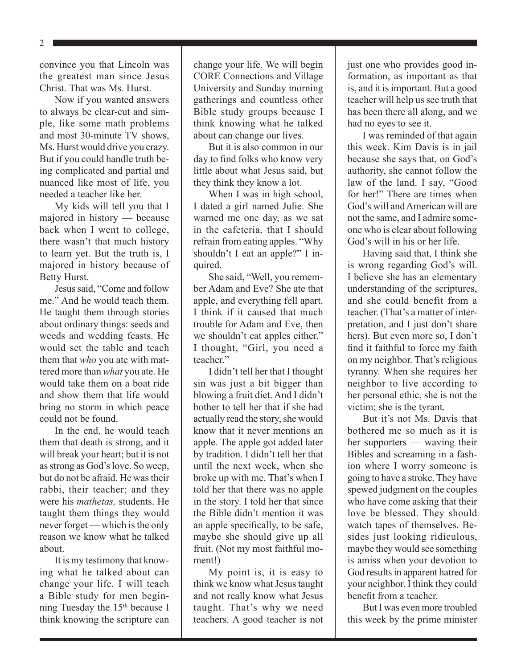2

convince you that Lincoln was the greatest man since Jesus Christ. That was Ms. Hurst.

Now if you wanted answers to always be clear-cut and simple, like some math problems and most 30-minute TV shows, Ms. Hurst would drive you crazy. But if you could handle truth being complicated and partial and nuanced like most of life, you needed a teacher like her.

My kids will tell you that I majored in history — because back when I went to college, there wasn't that much history to learn yet. But the truth is, I majored in history because of Betty Hurst.

Jesus said, "Come and follow me." And he would teach them. He taught them through stories about ordinary things: seeds and weeds and wedding feasts. He would set the table and teach them that *who* you ate with mattered more than *what* you ate. He would take them on a boat ride and show them that life would bring no storm in which peace could not be found.

In the end, he would teach them that death is strong, and it will break your heart; but it is not as strong as God's love. So weep, but do not be afraid. He was their rabbi, their teacher; and they were his *mathetas,* students. He taught them things they would never forget — which is the only reason we know what he talked about.

It is my testimony that knowing what he talked about can change your life. I will teach a Bible study for men beginning Tuesday the 15<sup>th</sup> because I think knowing the scripture can change your life. We will begin CORE Connections and Village University and Sunday morning gatherings and countless other Bible study groups because I think knowing what he talked about can change our lives.

But it is also common in our day to find folks who know very little about what Jesus said, but they think they know a lot.

When I was in high school, I dated a girl named Julie. She warned me one day, as we sat in the cafeteria, that I should refrain from eating apples. "Why shouldn't I eat an apple?" I inquired.

She said, "Well, you remember Adam and Eve? She ate that apple, and everything fell apart. I think if it caused that much trouble for Adam and Eve, then we shouldn't eat apples either." I thought, "Girl, you need a teacher."

I didn't tell her that I thought sin was just a bit bigger than blowing a fruit diet. And I didn't bother to tell her that if she had actually read the story, she would know that it never mentions an apple. The apple got added later by tradition. I didn't tell her that until the next week, when she broke up with me. That's when I told her that there was no apple in the story. I told her that since the Bible didn't mention it was an apple specifically, to be safe, maybe she should give up all fruit. (Not my most faithful moment!)

My point is, it is easy to think we know what Jesus taught and not really know what Jesus taught. That's why we need teachers. A good teacher is not just one who provides good information, as important as that is, and it is important. But a good teacher will help us see truth that has been there all along, and we had no eyes to see it.

I was reminded of that again this week. Kim Davis is in jail because she says that, on God's authority, she cannot follow the law of the land. I say, "Good for her!" There are times when God's will and American will are not the same, and I admire someone who is clear about following God's will in his or her life.

Having said that, I think she is wrong regarding God's will. I believe she has an elementary understanding of the scriptures, and she could benefit from a teacher. (That's a matter of interpretation, and I just don't share hers). But even more so, I don't find it faithful to force my faith on my neighbor. That's religious tyranny. When she requires her neighbor to live according to her personal ethic, she is not the victim; she is the tyrant.

But it's not Ms. Davis that bothered me so much as it is her supporters — waving their Bibles and screaming in a fashion where I worry someone is going to have a stroke. They have spewed judgment on the couples who have come asking that their love be blessed. They should watch tapes of themselves. Besides just looking ridiculous, maybe they would see something is amiss when your devotion to God results in apparent hatred for your neighbor. I think they could benefit from a teacher.

But I was even more troubled this week by the prime minister